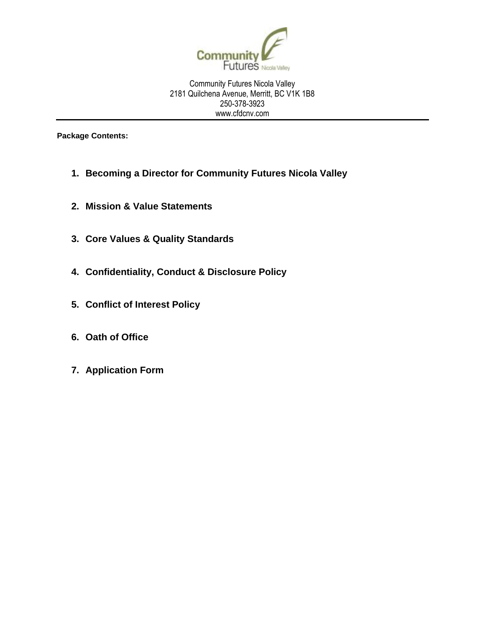

Community Futures Nicola Valley 2181 Quilchena Avenue, Merritt, BC V1K 1B8 250-378-3923 www.cfdcnv.com

**Package Contents:**

- **1. Becoming a Director for Community Futures Nicola Valley**
- **2. Mission & Value Statements**
- **3. Core Values & Quality Standards**
- **4. Confidentiality, Conduct & Disclosure Policy**
- **5. Conflict of Interest Policy**
- **6. Oath of Office**
- **7. Application Form**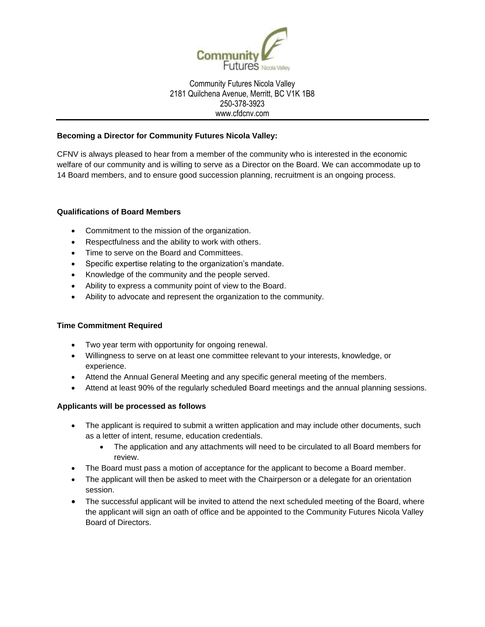

#### Community Futures Nicola Valley 2181 Quilchena Avenue, Merritt, BC V1K 1B8 250-378-3923 www.cfdcnv.com

### **Becoming a Director for Community Futures Nicola Valley:**

CFNV is always pleased to hear from a member of the community who is interested in the economic welfare of our community and is willing to serve as a Director on the Board. We can accommodate up to 14 Board members, and to ensure good succession planning, recruitment is an ongoing process.

#### **Qualifications of Board Members**

- Commitment to the mission of the organization.
- Respectfulness and the ability to work with others.
- Time to serve on the Board and Committees.
- Specific expertise relating to the organization's mandate.
- Knowledge of the community and the people served.
- Ability to express a community point of view to the Board.
- Ability to advocate and represent the organization to the community.

#### **Time Commitment Required**

- Two year term with opportunity for ongoing renewal.
- Willingness to serve on at least one committee relevant to your interests, knowledge, or experience.
- Attend the Annual General Meeting and any specific general meeting of the members.
- Attend at least 90% of the regularly scheduled Board meetings and the annual planning sessions.

#### **Applicants will be processed as follows**

- The applicant is required to submit a written application and may include other documents, such as a letter of intent, resume, education credentials.
	- The application and any attachments will need to be circulated to all Board members for review.
- The Board must pass a motion of acceptance for the applicant to become a Board member.
- The applicant will then be asked to meet with the Chairperson or a delegate for an orientation session.
- The successful applicant will be invited to attend the next scheduled meeting of the Board, where the applicant will sign an oath of office and be appointed to the Community Futures Nicola Valley Board of Directors.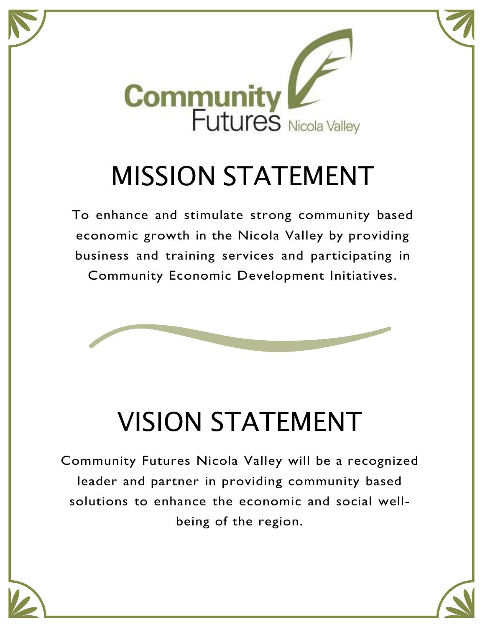

# MISSION STATEMENT

To enhance and stimulate strong community based economic growth in the Nicola Valley by providing business and training services and participating in Community Economic Development Initiatives.



# VISION STATEMENT

Community Futures Nicola Valley will be a recognized leader and partner in providing community based solutions to enhance the economic and social wellbeing of the region.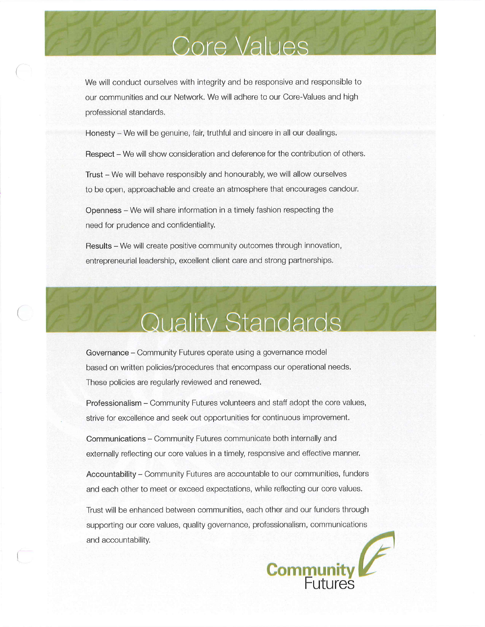# **Core Values**

We will conduct ourselves with integrity and be responsive and responsible to our communities and our Network. We will adhere to our Core-Values and high professional standards.

Honesty – We will be genuine, fair, truthful and sincere in all our dealings.

Respect – We will show consideration and deference for the contribution of others.

Trust - We will behave responsibly and honourably, we will allow ourselves to be open, approachable and create an atmosphere that encourages candour.

Openness - We will share information in a timely fashion respecting the need for prudence and confidentiality.

Results - We will create positive community outcomes through innovation, entrepreneurial leadership, excellent client care and strong partnerships.

# Quality Standards

Governance - Community Futures operate using a governance model based on written policies/procedures that encompass our operational needs. These policies are regularly reviewed and renewed.

Professionalism - Community Futures volunteers and staff adopt the core values, strive for excellence and seek out opportunities for continuous improvement.

Communications – Community Futures communicate both internally and externally reflecting our core values in a timely, responsive and effective manner.

Accountability - Community Futures are accountable to our communities, funders and each other to meet or exceed expectations, while reflecting our core values.

Trust will be enhanced between communities, each other and our funders through supporting our core values, quality governance, professionalism, communications and accountability.

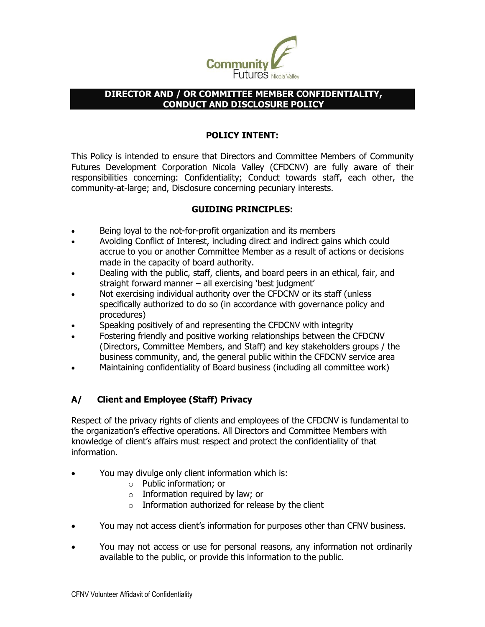

### **DIRECTOR AND / OR COMMITTEE MEMBER CONFIDENTIALITY, CONDUCT AND DISCLOSURE POLICY**

# **POLICY INTENT:**

This Policy is intended to ensure that Directors and Committee Members of Community Futures Development Corporation Nicola Valley (CFDCNV) are fully aware of their responsibilities concerning: Confidentiality; Conduct towards staff, each other, the community-at-large; and, Disclosure concerning pecuniary interests.

# **GUIDING PRINCIPLES:**

- Being loyal to the not-for-profit organization and its members
- Avoiding Conflict of Interest, including direct and indirect gains which could accrue to you or another Committee Member as a result of actions or decisions made in the capacity of board authority.
- Dealing with the public, staff, clients, and board peers in an ethical, fair, and straight forward manner – all exercising 'best judgment'
- Not exercising individual authority over the CFDCNV or its staff (unless specifically authorized to do so (in accordance with governance policy and procedures)
- Speaking positively of and representing the CFDCNV with integrity
- Fostering friendly and positive working relationships between the CFDCNV (Directors, Committee Members, and Staff) and key stakeholders groups / the business community, and, the general public within the CFDCNV service area
- Maintaining confidentiality of Board business (including all committee work)

# **A/ Client and Employee (Staff) Privacy**

Respect of the privacy rights of clients and employees of the CFDCNV is fundamental to the organization's effective operations. All Directors and Committee Members with knowledge of client's affairs must respect and protect the confidentiality of that information.

- You may divulge only client information which is:
	- o Public information; or
	- $\circ$  Information required by law; or
	- $\circ$  Information authorized for release by the client
- You may not access client's information for purposes other than CFNV business.
- You may not access or use for personal reasons, any information not ordinarily available to the public, or provide this information to the public.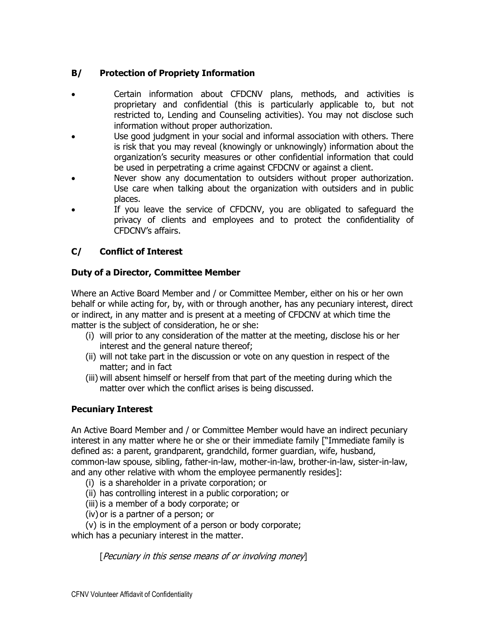# **B/ Protection of Propriety Information**

- Certain information about CFDCNV plans, methods, and activities is proprietary and confidential (this is particularly applicable to, but not restricted to, Lending and Counseling activities). You may not disclose such information without proper authorization.
- Use good judgment in your social and informal association with others. There is risk that you may reveal (knowingly or unknowingly) information about the organization's security measures or other confidential information that could be used in perpetrating a crime against CFDCNV or against a client.
- Never show any documentation to outsiders without proper authorization. Use care when talking about the organization with outsiders and in public places.
- If you leave the service of CFDCNV, you are obligated to safeguard the privacy of clients and employees and to protect the confidentiality of CFDCNV's affairs.

# **C/ Conflict of Interest**

# **Duty of a Director, Committee Member**

Where an Active Board Member and / or Committee Member, either on his or her own behalf or while acting for, by, with or through another, has any pecuniary interest, direct or indirect, in any matter and is present at a meeting of CFDCNV at which time the matter is the subject of consideration, he or she:

- (i) will prior to any consideration of the matter at the meeting, disclose his or her interest and the general nature thereof;
- (ii) will not take part in the discussion or vote on any question in respect of the matter; and in fact
- (iii) will absent himself or herself from that part of the meeting during which the matter over which the conflict arises is being discussed.

# **Pecuniary Interest**

An Active Board Member and / or Committee Member would have an indirect pecuniary interest in any matter where he or she or their immediate family ["Immediate family is defined as: a parent, grandparent, grandchild, former guardian, wife, husband, common-law spouse, sibling, father-in-law, mother-in-law, brother-in-law, sister-in-law, and any other relative with whom the employee permanently resides]:

- (i) is a shareholder in a private corporation; or
- (ii) has controlling interest in a public corporation; or
- (iii) is a member of a body corporate; or
- (iv) or is a partner of a person; or
- (v) is in the employment of a person or body corporate;

which has a pecuniary interest in the matter.

[Pecuniary in this sense means of or involving money]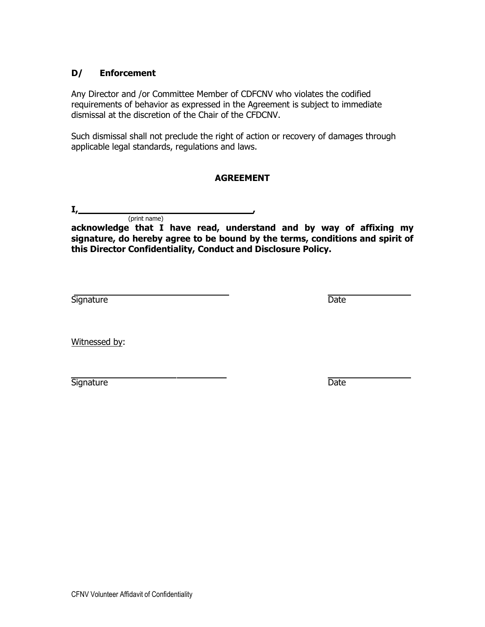## **D/ Enforcement**

(print name)

Any Director and /or Committee Member of CDFCNV who violates the codified requirements of behavior as expressed in the Agreement is subject to immediate dismissal at the discretion of the Chair of the CFDCNV.

Such dismissal shall not preclude the right of action or recovery of damages through applicable legal standards, regulations and laws.

## **AGREEMENT**

**I, ,**

**acknowledge that I have read, understand and by way of affixing my signature, do hereby agree to be bound by the terms, conditions and spirit of this Director Confidentiality, Conduct and Disclosure Policy.**

Signature Date Date

Witnessed by:

Signature Date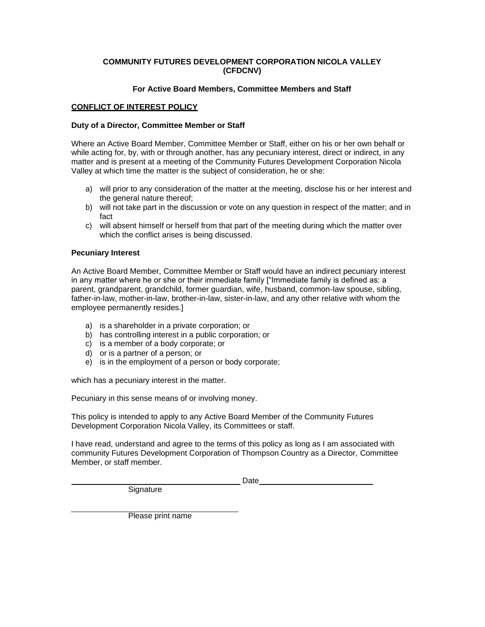#### **COMMUNITY FUTURES DEVELOPMENT CORPORATION NICOLA VALLEY (CFDCNV)**

#### **For Active Board Members, Committee Members and Staff**

#### **CONFLICT OF INTEREST POLICY**

#### **Duty of a Director, Committee Member or Staff**

Where an Active Board Member, Committee Member or Staff, either on his or her own behalf or while acting for, by, with or through another, has any pecuniary interest, direct or indirect, in any matter and is present at a meeting of the Community Futures Development Corporation Nicola Valley at which time the matter is the subject of consideration, he or she:

- a) will prior to any consideration of the matter at the meeting, disclose his or her interest and the general nature thereof;
- b) will not take part in the discussion or vote on any question in respect of the matter; and in fact
- c) will absent himself or herself from that part of the meeting during which the matter over which the conflict arises is being discussed.

#### **Pecuniary Interest**

An Active Board Member, Committee Member or Staff would have an indirect pecuniary interest in any matter where he or she or their immediate family ["Immediate family is defined as: a parent, grandparent, grandchild, former guardian, wife, husband, common-law spouse, sibling, father-in-law, mother-in-law, brother-in-law, sister-in-law, and any other relative with whom the employee permanently resides.]

- a) is a shareholder in a private corporation; or
- b) has controlling interest in a public corporation; or
- c) is a member of a body corporate; or
- d) or is a partner of a person; or
- e) is in the employment of a person or body corporate;

which has a pecuniary interest in the matter.

Pecuniary in this sense means of or involving money.

This policy is intended to apply to any Active Board Member of the Community Futures Development Corporation Nicola Valley, its Committees or staff.

I have read, understand and agree to the terms of this policy as long as I am associated with community Futures Development Corporation of Thompson Country as a Director, Committee Member, or staff member.

Date **Date Date Date Date Date Date Date Date Date Date Date Date Date Date Date Date D** 

**Signature** 

Please print name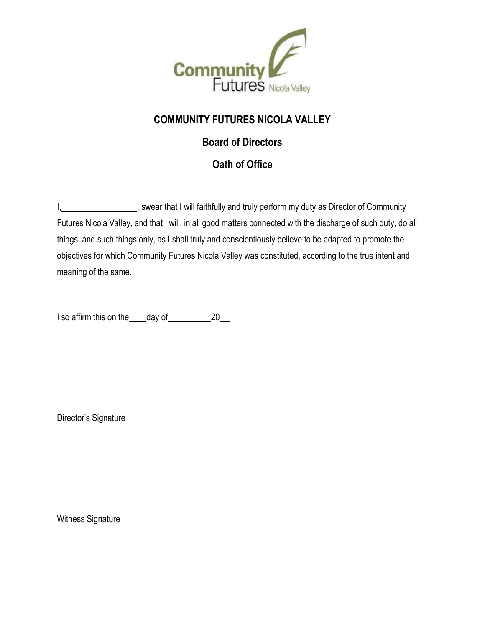

# **COMMUNITY FUTURES NICOLA VALLEY**

# **Board of Directors**

# **Oath of Office**

I, 1. Community Swear that I will faithfully and truly perform my duty as Director of Community Futures Nicola Valley, and that I will, in all good matters connected with the discharge of such duty, do all things, and such things only, as I shall truly and conscientiously believe to be adapted to promote the objectives for which Community Futures Nicola Valley was constituted, according to the true intent and meaning of the same.

I so affirm this on the day of 20

Director's Signature

Witness Signature